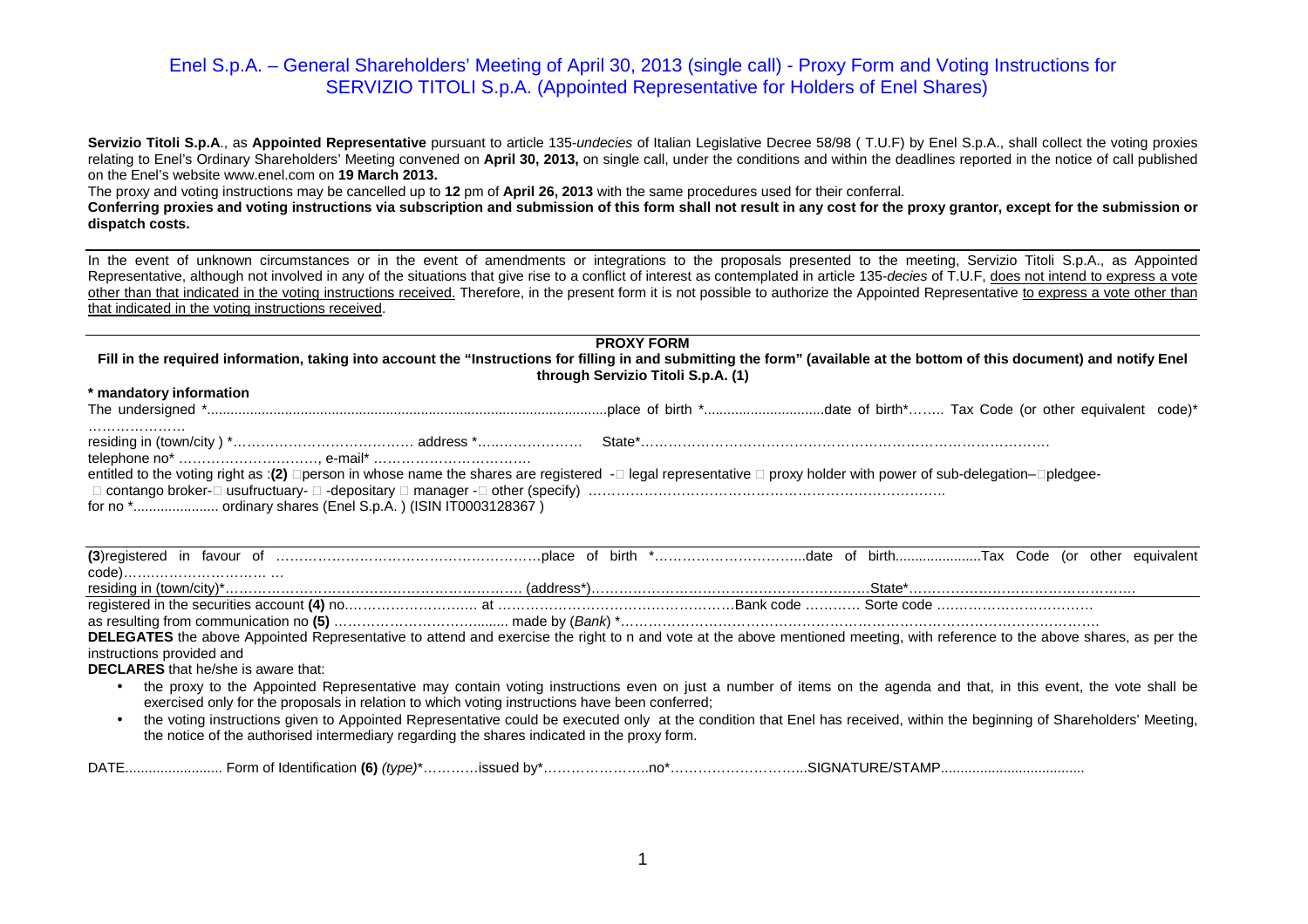Servizio Titoli S.p.A., as Appointed Representative pursuant to article 135-undecies of Italian Legislative Decree 58/98 (T.U.F) by Enel S.p.A., shall collect the voting proxies relating to Enel's Ordinary Shareholders' Meeting convened on **April 30, 2013,** on single call, under the conditions and within the deadlines reported in the notice of call publishedon the Enel's website www.enel.com on **19 March 2013.** 

The proxy and voting instructions may be cancelled up to **12** pm of **April 26, 2013** with the same procedures used for their conferral.

 **Conferring proxies and voting instructions via subscription and submission of this form shall not result in any cost for the proxy grantor, except for the submission or dispatch costs.** 

In the event of unknown circumstances or in the event of amendments or integrations to the proposals presented to the meeting, Servizio Titoli S.p.A., as Appointed Representative, although not involved in any of the situations that give rise to a conflict of interest as contemplated in article 135-decies of T.U.F, does not intend to express a vote other than that indicated in the voting instructions received. Therefore, in the present form it is not possible to authorize the Appointed Representative to express a vote other than that indicated in the voting instructions received.

|                                                                                                                                                                            | <b>PROXY FORM</b>                  |                                                                                                                                                                   |  |
|----------------------------------------------------------------------------------------------------------------------------------------------------------------------------|------------------------------------|-------------------------------------------------------------------------------------------------------------------------------------------------------------------|--|
| Fill in the required information, taking into account the "Instructions for filling in and submitting the form" (available at the bottom of this document) and notify Enel |                                    |                                                                                                                                                                   |  |
|                                                                                                                                                                            | through Servizio Titoli S.p.A. (1) |                                                                                                                                                                   |  |
| * mandatory information                                                                                                                                                    |                                    |                                                                                                                                                                   |  |
|                                                                                                                                                                            |                                    |                                                                                                                                                                   |  |
|                                                                                                                                                                            |                                    |                                                                                                                                                                   |  |
| telephone no* , e-mail*                                                                                                                                                    |                                    |                                                                                                                                                                   |  |
| entitled to the voting right as :(2) person in whose name the shares are registered - legal representative proxy holder with power of sub-delegation- pledgee-             |                                    |                                                                                                                                                                   |  |
|                                                                                                                                                                            |                                    |                                                                                                                                                                   |  |
|                                                                                                                                                                            |                                    |                                                                                                                                                                   |  |
|                                                                                                                                                                            |                                    |                                                                                                                                                                   |  |
|                                                                                                                                                                            |                                    |                                                                                                                                                                   |  |
|                                                                                                                                                                            |                                    |                                                                                                                                                                   |  |
|                                                                                                                                                                            |                                    |                                                                                                                                                                   |  |
|                                                                                                                                                                            |                                    |                                                                                                                                                                   |  |
|                                                                                                                                                                            |                                    |                                                                                                                                                                   |  |
| DELEGATES the above Appointed Representative to attend and exercise the right to n and vote at the above mentioned meeting, with reference to the above shares, as per the |                                    |                                                                                                                                                                   |  |
| instructions provided and                                                                                                                                                  |                                    |                                                                                                                                                                   |  |
| <b>DECLARES</b> that he/she is aware that:                                                                                                                                 |                                    |                                                                                                                                                                   |  |
|                                                                                                                                                                            |                                    | the proxy to the Appointed Representative may contain voting instructions even on just a number of items on the agenda and that, in this event, the vote shall be |  |
| exercised only for the proposals in relation to which voting instructions have been conferred;                                                                             |                                    |                                                                                                                                                                   |  |

 • the voting instructions given to Appointed Representative could be executed only at the condition that Enel has received, within the beginning of Shareholders' Meeting, the notice of the authorised intermediary regarding the shares indicated in the proxy form.

| <b>DATE</b><br><b>Identification</b><br>ิบเเเ | $\sqrt{2}$<br>$(tv e)^*$<br>. | hv<br>. | . . | . AMP<br>….SIGNA⊤'<br>UNL |  |
|-----------------------------------------------|-------------------------------|---------|-----|---------------------------|--|
|-----------------------------------------------|-------------------------------|---------|-----|---------------------------|--|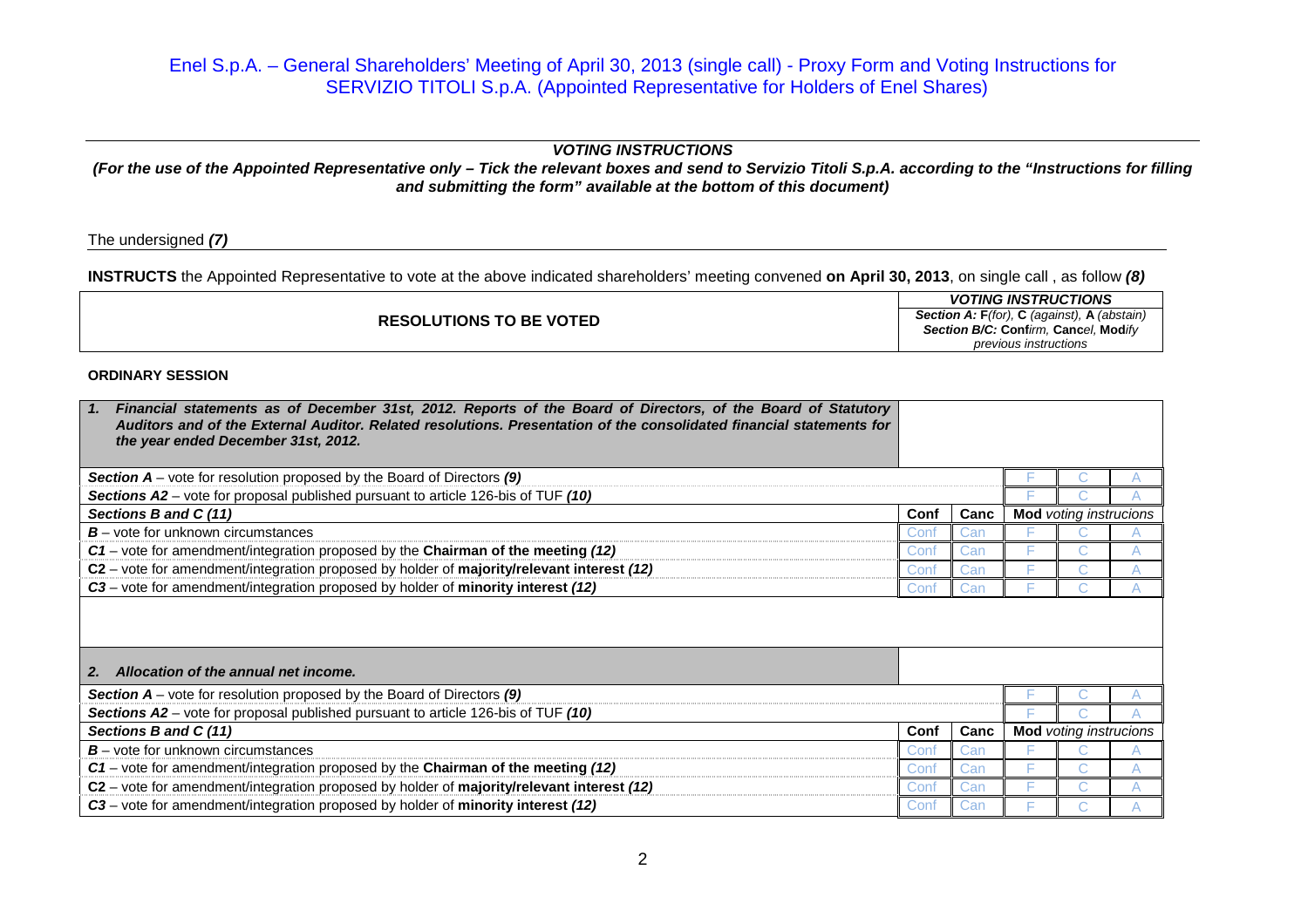## **VOTING INSTRUCTIONS**

## **(For the use of the Appointed Representative only – Tick the relevant boxes and send to Servizio Titoli S.p.A. according to the "Instructions for fillingand submitting the form" available at the bottom of this document)**

The undersigned **(7)**

**INSTRUCTS** the Appointed Representative to vote at the above indicated shareholders' meeting convened **on April 30, 2013**, on single call , as follow **(8)**

| <b>RESOLUTIONS TO BE VOTED</b> | <b>VOTING INSTRUCTIONS</b>                          |
|--------------------------------|-----------------------------------------------------|
|                                | <b>Section A: F</b> (for), C (against), A (abstain) |
|                                | Section B/C: Confirm, Cancel, Modify                |
|                                | previous instructions                               |

## **ORDINARY SESSION**

| Financial statements as of December 31st, 2012. Reports of the Board of Directors, of the Board of Statutory<br>$\blacksquare$ 1.<br>Auditors and of the External Auditor, Related resolutions, Presentation of the consolidated financial statements for<br>the year ended December 31st, 2012. |      |      |                               |  |  |
|--------------------------------------------------------------------------------------------------------------------------------------------------------------------------------------------------------------------------------------------------------------------------------------------------|------|------|-------------------------------|--|--|
| <b>Section A</b> – vote for resolution proposed by the Board of Directors (9)                                                                                                                                                                                                                    |      |      |                               |  |  |
| Sections A2 – vote for proposal published pursuant to article 126-bis of TUF (10)                                                                                                                                                                                                                |      |      |                               |  |  |
| Sections B and C (11)                                                                                                                                                                                                                                                                            | Conf | Canc | <b>Mod</b> voting instrucions |  |  |
| $B$ – vote for unknown circumstances                                                                                                                                                                                                                                                             | uon  | ;ar  |                               |  |  |
| $C1$ – vote for amendment/integration proposed by the Chairman of the meeting (12)                                                                                                                                                                                                               | Con  | Gar. |                               |  |  |
| C2 - vote for amendment/integration proposed by holder of majority/relevant interest (12)                                                                                                                                                                                                        |      |      |                               |  |  |
| C3 – vote for amendment/integration proposed by holder of minority interest (12)                                                                                                                                                                                                                 | Con  | Can  |                               |  |  |
| Allocation of the annual net income.<br>2 <sub>1</sub>                                                                                                                                                                                                                                           |      |      |                               |  |  |
| <b>Section A</b> – vote for resolution proposed by the Board of Directors (9)                                                                                                                                                                                                                    |      |      |                               |  |  |
| Sections A2 - vote for proposal published pursuant to article 126-bis of TUF (10)                                                                                                                                                                                                                |      |      |                               |  |  |
| Sections B and C (11)                                                                                                                                                                                                                                                                            | Conf | Canc | <b>Mod</b> voting instrucions |  |  |
| $B$ – vote for unknown circumstances                                                                                                                                                                                                                                                             |      |      |                               |  |  |
| C1 – vote for amendment/integration proposed by the Chairman of the meeting (12)                                                                                                                                                                                                                 | Con  | Can  |                               |  |  |
| C2 - vote for amendment/integration proposed by holder of majority/relevant interest (12)                                                                                                                                                                                                        | Con  | Car  |                               |  |  |
| C3 – vote for amendment/integration proposed by holder of minority interest (12)                                                                                                                                                                                                                 | Con  |      |                               |  |  |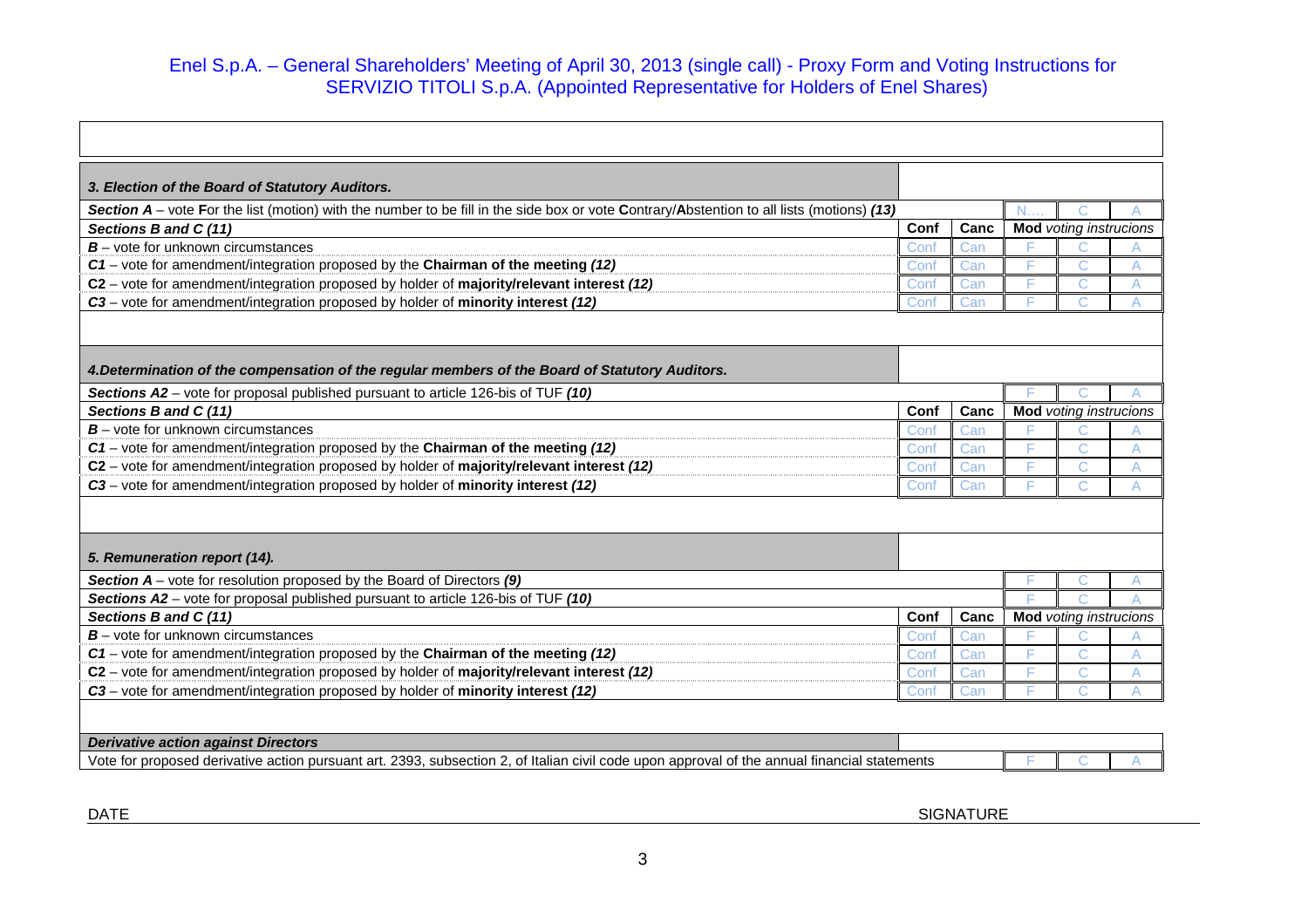| 3. Election of the Board of Statutory Auditors.                                                                                             |      |      |                               |                               |  |
|---------------------------------------------------------------------------------------------------------------------------------------------|------|------|-------------------------------|-------------------------------|--|
| Section $A$ – vote For the list (motion) with the number to be fill in the side box or vote Contrary/Abstention to all lists (motions) (13) |      |      |                               |                               |  |
| Sections B and C (11)                                                                                                                       | Conf | Canc |                               | <b>Mod</b> voting instrucions |  |
| $B$ – vote for unknown circumstances                                                                                                        | Conf | Can  |                               |                               |  |
| C1 – vote for amendment/integration proposed by the Chairman of the meeting (12)                                                            | Conf | Can  |                               |                               |  |
| C2 - vote for amendment/integration proposed by holder of majority/relevant interest (12)                                                   | Cont | Can  |                               |                               |  |
| C3 - vote for amendment/integration proposed by holder of minority interest (12)                                                            | Con  | Can  |                               |                               |  |
|                                                                                                                                             |      |      |                               |                               |  |
| 4. Determination of the compensation of the regular members of the Board of Statutory Auditors.                                             |      |      |                               |                               |  |
| Sections A2 – vote for proposal published pursuant to article 126-bis of TUF (10)                                                           |      |      |                               |                               |  |
| Sections B and C (11)                                                                                                                       | Conf | Canc |                               | <b>Mod</b> voting instrucions |  |
| $B$ – vote for unknown circumstances                                                                                                        | Cont | Can  |                               |                               |  |
| $C1$ – vote for amendment/integration proposed by the Chairman of the meeting (12)                                                          | Cont | Can  |                               |                               |  |
| C2 – vote for amendment/integration proposed by holder of majority/relevant interest (12)                                                   | Cont | Can  |                               |                               |  |
| C3 – vote for amendment/integration proposed by holder of minority interest (12)                                                            | Conf | Can  |                               |                               |  |
|                                                                                                                                             |      |      |                               |                               |  |
| 5. Remuneration report (14).                                                                                                                |      |      |                               |                               |  |
| Section $A$ – vote for resolution proposed by the Board of Directors (9)                                                                    |      |      |                               |                               |  |
| Sections A2 – vote for proposal published pursuant to article 126-bis of TUF (10)                                                           |      |      |                               |                               |  |
| Sections B and C (11)                                                                                                                       | Conf | Canc | <b>Mod</b> voting instrucions |                               |  |
| $B$ – vote for unknown circumstances                                                                                                        | Conf | Can  |                               |                               |  |
| $C1$ – vote for amendment/integration proposed by the Chairman of the meeting (12)                                                          | Conf | Can  |                               |                               |  |
| C2 - vote for amendment/integration proposed by holder of majority/relevant interest (12)                                                   | Cont | Can  |                               |                               |  |
| C3 - vote for amendment/integration proposed by holder of minority interest (12)                                                            | Con  | Can  |                               |                               |  |
|                                                                                                                                             |      |      |                               |                               |  |

| <b>Deriva</b><br>t Directors<br>e actior<br>ı adaınst<br><i>rative</i>                                                                                                                                   |  |  |  |
|----------------------------------------------------------------------------------------------------------------------------------------------------------------------------------------------------------|--|--|--|
| Vote<br>2393.<br>--<br>statements<br>subsection<br>ılıar<br>t art.<br>$\sim$<br>pursuan <sup>®</sup><br>annual financial<br>tor<br>. Ita<br>upor<br>' proposed<br>วnroval<br>the<br>, derivative<br>`VII |  |  |  |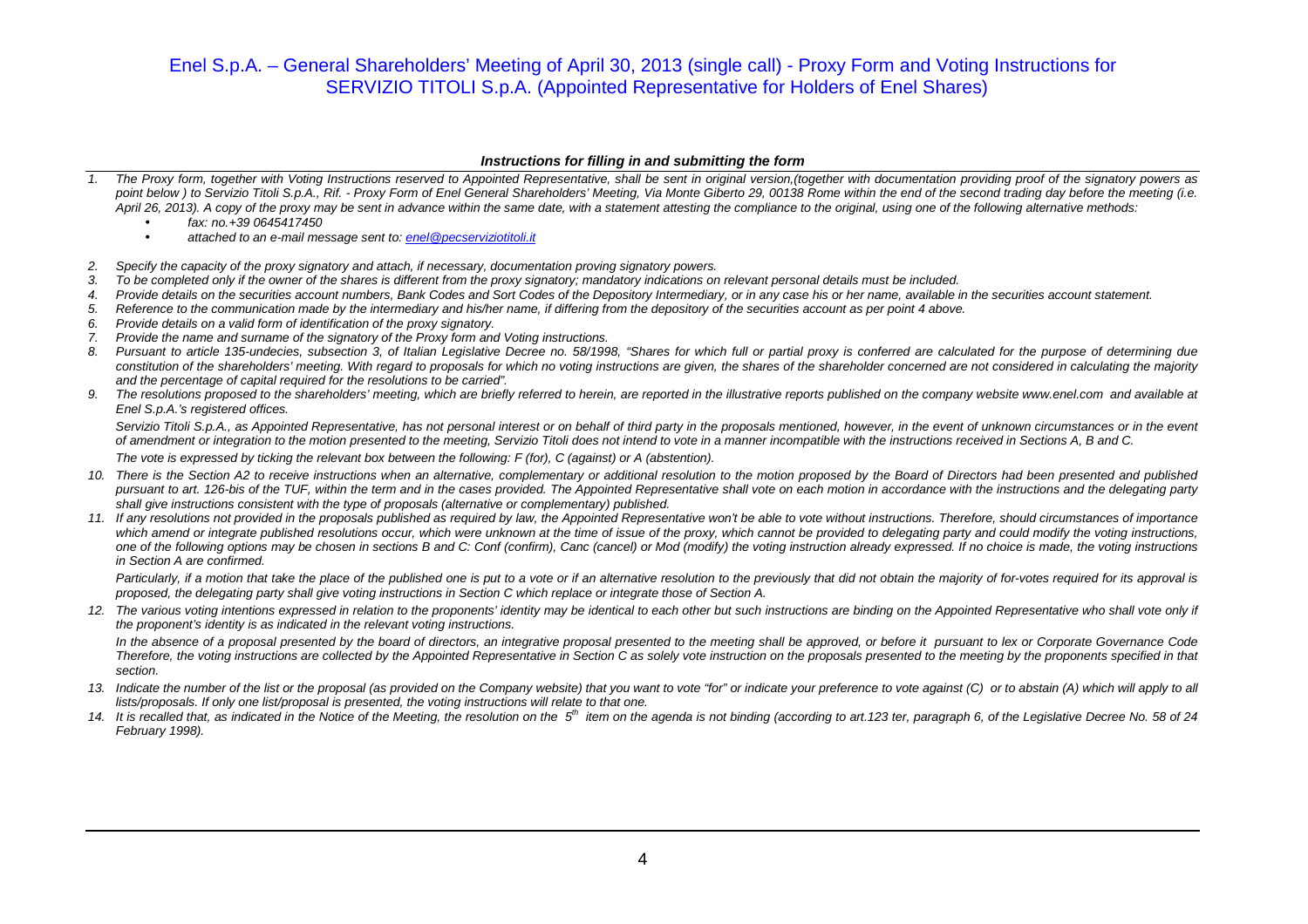#### **Instructions for filling in and submitting the form**

- 1. The Proxy form, together with Voting Instructions reserved to Appointed Representative, shall be sent in original version,(together with documentation providing proof of the signatory powers as point below) to Servizio Titoli S.p.A., Rif. - Proxy Form of Enel General Shareholders' Meeting, Via Monte Giberto 29, 00138 Rome within the end of the second trading day before the meeting (i.e. April 26, 2013). A copy of the proxy may be sent in advance within the same date, with a statement attesting the compliance to the original, using one of the following alternative methods:
	- •fax: no.+39 0645417450
	- •attached to an e-mail message sent to: enel@pecserviziotitoli.it
- 2. Specify the capacity of the proxy signatory and attach, if necessary, documentation proving signatory powers.
- 3. To be completed only if the owner of the shares is different from the proxy signatory; mandatory indications on relevant personal details must be included.
- 4. Provide details on the securities account numbers, Bank Codes and Sort Codes of the Depository Intermediary, or in any case his or her name, available in the securities account statement.
- 5. Reference to the communication made by the intermediary and his/her name, if differing from the depository of the securities account as per point 4 above.
- 6. Provide details on a valid form of identification of the proxy signatory.
- 7. Provide the name and surname of the signatory of the Proxy form and Voting instructions.
- 8. Pursuant to article 135-undecies, subsection 3, of Italian Legislative Decree no. 58/1998, "Shares for which full or partial proxy is conferred are calculated for the purpose of determining due constitution of the shareholders' meeting. With regard to proposals for which no voting instructions are given, the shares of the shareholder concerned are not considered in calculating the majority and the percentage of capital required for the resolutions to be carried".
- 9. The resolutions proposed to the shareholders' meeting, which are briefly referred to herein, are reported in the illustrative reports published on the company website www.enel.com and available at Enel S.p.A.'s registered offices.

Servizio Titoli S.p.A., as Appointed Representative, has not personal interest or on behalf of third party in the proposals mentioned, however, in the event of unknown circumstances or in the event of amendment or integration to the motion presented to the meeting, Servizio Titoli does not intend to vote in a manner incompatible with the instructions received in Sections A, B and C. The vote is expressed by ticking the relevant box between the following: F (for), C (against) or A (abstention).

- 10. There is the Section A2 to receive instructions when an alternative, complementary or additional resolution to the motion proposed by the Board of Directors had been presented and published pursuant to art. 126-bis of the TUF, within the term and in the cases provided. The Appointed Representative shall vote on each motion in accordance with the instructions and the delegating party shall give instructions consistent with the type of proposals (alternative or complementary) published.
- 11. If any resolutions not provided in the proposals published as required by law, the Appointed Representative won't be able to vote without instructions. Therefore, should circumstances of importance which amend or integrate published resolutions occur, which were unknown at the time of issue of the proxy, which cannot be provided to delegating party and could modify the voting instructions, one of the following options may be chosen in sections B and C: Conf (confirm), Canc (cancel) or Mod (modify) the voting instruction already expressed. If no choice is made, the voting instructions in Section A are confirmed.

Particularly, if a motion that take the place of the published one is put to a vote or if an alternative resolution to the previously that did not obtain the majority of for-votes required for its approval is proposed, the delegating party shall give voting instructions in Section C which replace or integrate those of Section A.

12. The various voting intentions expressed in relation to the proponents' identity may be identical to each other but such instructions are binding on the Appointed Representative who shall vote only if the proponent's identity is as indicated in the relevant voting instructions.

In the absence of a proposal presented by the board of directors, an integrative proposal presented to the meeting shall be approved, or before it pursuant to lex or Corporate Governance Code Therefore, the voting instructions are collected by the Appointed Representative in Section C as solely vote instruction on the proposals presented to the meeting by the proponents specified in that section.

- 13. Indicate the number of the list or the proposal (as provided on the Company website) that you want to vote "for" or indicate your preference to vote against (C) or to abstain (A) which will apply to all lists/proposals. If only one list/proposal is presented, the voting instructions will relate to that one.
- 14. It is recalled that, as indicated in the Notice of the Meeting, the resolution on the 5<sup>th</sup> item on the agenda is not binding (according to art.123 ter, paragraph 6, of the Legislative Decree No. 58 of 24 February 1998).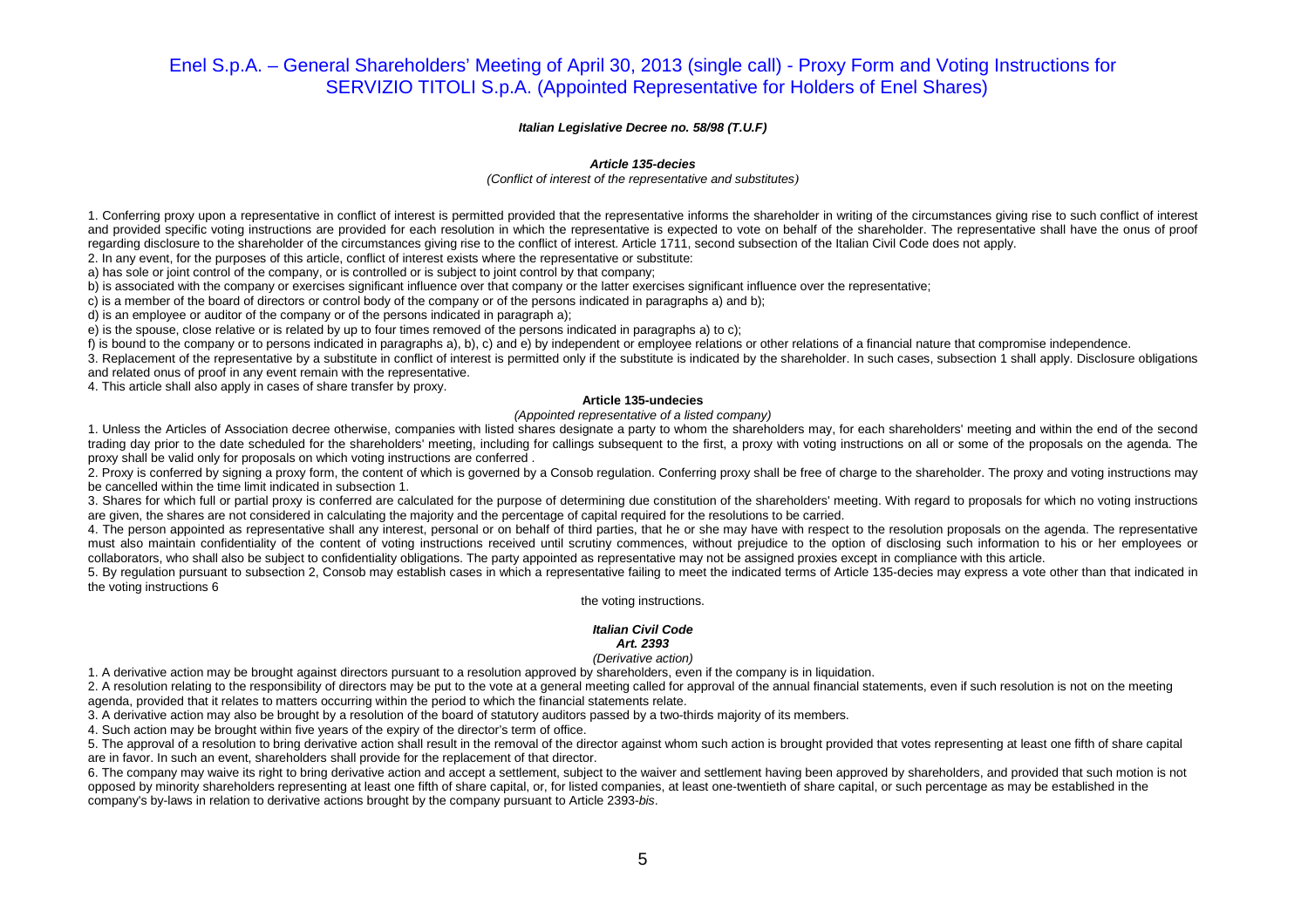#### **Italian Legislative Decree no. 58/98 (T.U.F)**

#### **Article 135-decies**

#### (Conflict of interest of the representative and substitutes*)*

1. Conferring proxy upon a representative in conflict of interest is permitted provided that the representative informs the shareholder in writing of the circumstances giving rise to such conflict of interest and provided specific voting instructions are provided for each resolution in which the representative is expected to vote on behalf of the shareholder. The representative shall have the onus of proof regarding disclosure to the shareholder of the circumstances giving rise to the conflict of interest. Article 1711, second subsection of the Italian Civil Code does not apply.

2. In any event, for the purposes of this article, conflict of interest exists where the representative or substitute:

a) has sole or joint control of the company, or is controlled or is subject to joint control by that company;

b) is associated with the company or exercises significant influence over that company or the latter exercises significant influence over the representative;

c) is a member of the board of directors or control body of the company or of the persons indicated in paragraphs a) and b);

d) is an employee or auditor of the company or of the persons indicated in paragraph a);

e) is the spouse, close relative or is related by up to four times removed of the persons indicated in paragraphs a) to c);

f) is bound to the company or to persons indicated in paragraphs a), b), c) and e) by independent or employee relations or other relations of a financial nature that compromise independence.

 3. Replacement of the representative by a substitute in conflict of interest is permitted only if the substitute is indicated by the shareholder. In such cases, subsection 1 shall apply. Disclosure obligations and related onus of proof in any event remain with the representative.

4. This article shall also apply in cases of share transfer by proxy.

#### **Article 135-undecies**

#### (Appointed representative of a listed company)

 1. Unless the Articles of Association decree otherwise, companies with listed shares designate a party to whom the shareholders may, for each shareholders' meeting and within the end of the second trading day prior to the date scheduled for the shareholders' meeting, including for callings subsequent to the first, a proxy with voting instructions on all or some of the proposals on the agenda. The proxy shall be valid only for proposals on which voting instructions are conferred .

2. Proxy is conferred by signing a proxy form, the content of which is governed by a Consob regulation. Conferring proxy shall be free of charge to the shareholder. The proxy and voting instructions may be cancelled within the time limit indicated in subsection 1.

3. Shares for which full or partial proxy is conferred are calculated for the purpose of determining due constitution of the shareholders' meeting. With regard to proposals for which no voting instructions are given, the shares are not considered in calculating the majority and the percentage of capital required for the resolutions to be carried.

 4. The person appointed as representative shall any interest, personal or on behalf of third parties, that he or she may have with respect to the resolution proposals on the agenda. The representative must also maintain confidentiality of the content of voting instructions received until scrutiny commences, without prejudice to the option of disclosing such information to his or her employees or collaborators, who shall also be subject to confidentiality obligations. The party appointed as representative may not be assigned proxies except in compliance with this article.

 5. By regulation pursuant to subsection 2, Consob may establish cases in which a representative failing to meet the indicated terms of Article 135-decies may express a vote other than that indicated in the voting instructions 6

#### the voting instructions.

### **Italian Civil Code**

#### **Art. 2393**

#### (Derivative action)

1. A derivative action may be brought against directors pursuant to a resolution approved by shareholders, even if the company is in liquidation.

2. A resolution relating to the responsibility of directors may be put to the vote at a general meeting called for approval of the annual financial statements, even if such resolution is not on the meeting agenda, provided that it relates to matters occurring within the period to which the financial statements relate.

3. A derivative action may also be brought by a resolution of the board of statutory auditors passed by a two-thirds majority of its members.

4. Such action may be brought within five years of the expiry of the director's term of office.

5. The approval of a resolution to bring derivative action shall result in the removal of the director against whom such action is brought provided that votes representing at least one fifth of share capital are in favor. In such an event, shareholders shall provide for the replacement of that director.

 6. The company may waive its right to bring derivative action and accept a settlement, subject to the waiver and settlement having been approved by shareholders, and provided that such motion is not opposed by minority shareholders representing at least one fifth of share capital, or, for listed companies, at least one-twentieth of share capital, or such percentage as may be established in the company's by-laws in relation to derivative actions brought by the company pursuant to Article 2393-bis.